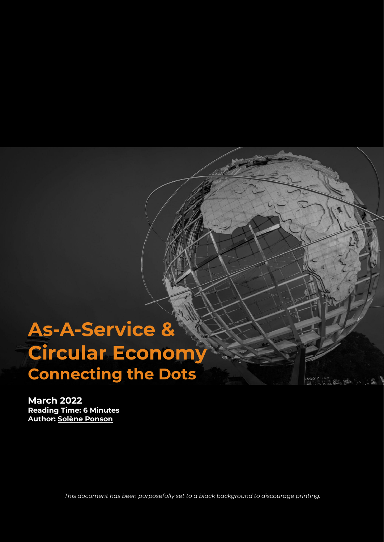# **As-A-Service & Circular Economy Connecting the Dots**

2. 2. 小编

**March 2022 Reading Time: 6 Minutes Author: Solène [Ponson](https://www.linkedin.com/in/sol%C3%A8ne-ponson/)**

*This document has been purposefully set to a black background to discourage printing.*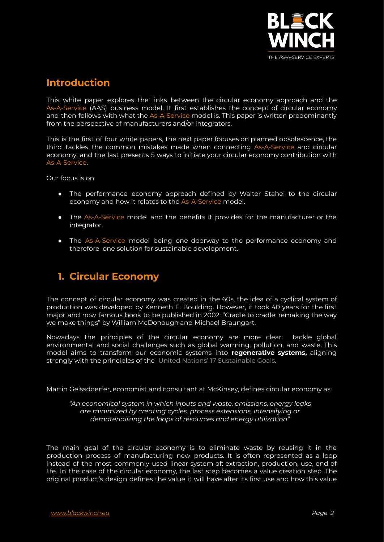

#### **Introduction**

This white paper explores the links between the circular economy approach and the As-A-Service (AAS) business model. It first establishes the concept of circular economy and then follows with what the As-A-Service model is. This paper is written predominantly from the perspective of manufacturers and/or integrators.

This is the first of four white papers, the next paper focuses on planned obsolescence, the third tackles the common mistakes made when connecting As-A-Service and circular economy, and the last presents 5 ways to initiate your circular economy contribution with As-A-Service.

Our focus is on:

- The performance economy approach defined by Walter Stahel to the circular economy and how it relates to the As-A-Service model.
- The As-A-Service model and the benefits it provides for the manufacturer or the integrator.
- The As-A-Service model being one doorway to the performance economy and therefore one solution for sustainable development.

### **1. Circular Economy**

The concept of circular economy was created in the 60s, the idea of a cyclical system of production was developed by Kenneth E. Boulding. However, it took 40 years for the first major and now famous book to be published in 2002: "Cradle to cradle: remaking the way we make things" by William McDonough and Michael Braungart.

Nowadays the principles of the circular economy are more clear: tackle global environmental and social challenges such as global warming, pollution, and waste. This model aims to transform our economic systems into **regenerative systems,** aligning strongly with the principles of the United Nations' 17 [Sustainable](https://sdgs.un.org/goals) Goals.

Martin Geissdoerfer, economist and consultant at McKinsey, defines circular economy as:

*"An economical system in which inputs and waste, emissions, energy leaks are minimized by creating cycles, process extensions, intensifying or dematerializing the loops of resources and energy utilization"*

The main goal of the circular economy is to eliminate waste by reusing it in the production process of manufacturing new products. It is often represented as a loop instead of the most commonly used linear system of: extraction, production, use, end of life. In the case of the circular economy, the last step becomes a value creation step. The original product's design defines the value it will have after its first use and how this value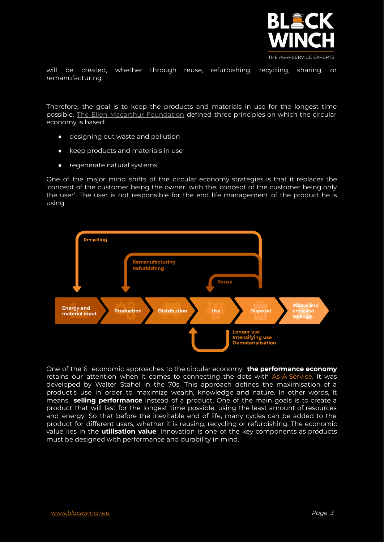

will be created, whether through reuse, refurbishing, recycling, sharing, or remanufacturing.

Therefore, the goal is to keep the products and materials in use for the longest time possible. The Ellen Macarthur [Foundation](https://www.ellenmacarthurfoundation.org/) defined three principles on which the circular economy is based:

- designing out waste and pollution
- keep products and materials in use
- regenerate natural systems

One of the major mind shifts of the circular economy strategies is that it replaces the 'concept of the customer being the owner' with the 'concept of the customer being only the user'. The user is not responsible for the end life management of the product he is using.



One of the 6 economic approaches to the circular economy, **the performance economy** retains our attention when it comes to connecting the dots with As-A-Service. It was developed by Walter Stahel in the 70s. This approach defines the maximisation of a product's use in order to maximize wealth, knowledge and nature. In other words, it means **selling performance** instead of a product. One of the main goals is to create a product that will last for the longest time possible, using the least amount of resources and energy. So that before the inevitable end of life, many cycles can be added to the product for different users, whether it is reusing, recycling or refurbishing. The economic value lies in the **utilisation value**. Innovation is one of the key components as products must be designed with performance and durability in mind.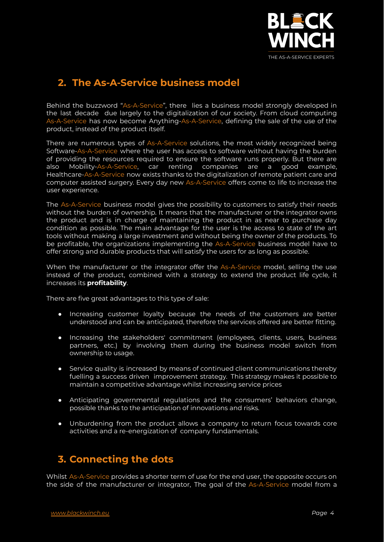

## **2. The As-A-Service business model**

Behind the buzzword "As-A-Service", there lies a business model strongly developed in the last decade due largely to the digitalization of our society. From cloud computing As-A-Service has now become Anything-As-A-Service, defining the sale of the use of the product, instead of the product itself.

There are numerous types of As-A-Service solutions, the most widely recognized being Software-As-A-Service where the user has access to software without having the burden of providing the resources required to ensure the software runs properly. But there are also Mobility-As-A-Service, car renting companies are a good example, Healthcare-As-A-Service now exists thanks to the digitalization of remote patient care and computer assisted surgery. Every day new As-A-Service offers come to life to increase the user experience.

The As-A-Service business model gives the possibility to customers to satisfy their needs without the burden of ownership. It means that the manufacturer or the integrator owns the product and is in charge of maintaining the product in as near to purchase day condition as possible. The main advantage for the user is the access to state of the art tools without making a large investment and without being the owner of the products. To be profitable, the organizations implementing the As-A-Service business model have to offer strong and durable products that will satisfy the users for as long as possible.

When the manufacturer or the integrator offer the As-A-Service model, selling the use instead of the product, combined with a strategy to extend the product life cycle, it increases its **profitability**.

There are five great advantages to this type of sale:

- Increasing customer loyalty because the needs of the customers are better understood and can be anticipated, therefore the services offered are better fitting.
- Increasing the stakeholders' commitment (employees, clients, users, business partners, etc.) by involving them during the business model switch from ownership to usage.
- Service quality is increased by means of continued client communications thereby fuelling a success driven improvement strategy. This strategy makes it possible to maintain a competitive advantage whilst increasing service prices
- Anticipating governmental regulations and the consumers' behaviors change, possible thanks to the anticipation of innovations and risks.
- Unburdening from the product allows a company to return focus towards core activities and a re-energization of company fundamentals.

### **3. Connecting the dots**

Whilst As-A-Service provides a shorter term of use for the end user, the opposite occurs on the side of the manufacturer or integrator, The goal of the As-A-Service model from a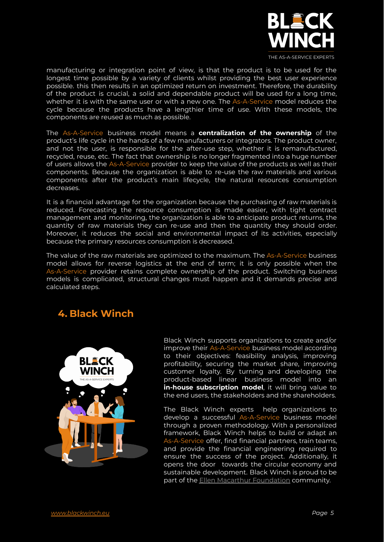

manufacturing or integration point of view, is that the product is to be used for the longest time possible by a variety of clients whilst providing the best user experience possible. this then results in an optimized return on investment. Therefore, the durability of the product is crucial, a solid and dependable product will be used for a long time, whether it is with the same user or with a new one. The As-A-Service model reduces the cycle because the products have a lengthier time of use. With these models, the components are reused as much as possible.

The As-A-Service business model means a **centralization of the ownership** of the product's life cycle in the hands of a few manufacturers or integrators. The product owner, and not the user, is responsible for the after-use step, whether it is remanufactured, recycled, reuse, etc. The fact that ownership is no longer fragmented into a huge number of users allows the As-A-Service provider to keep the value of the products as well as their components. Because the organization is able to re-use the raw materials and various components after the product's main lifecycle, the natural resources consumption decreases.

It is a financial advantage for the organization because the purchasing of raw materials is reduced. Forecasting the resource consumption is made easier, with tight contract management and monitoring, the organization is able to anticipate product returns, the quantity of raw materials they can re-use and then the quantity they should order. Moreover, it reduces the social and environmental impact of its activities, especially because the primary resources consumption is decreased.

The value of the raw materials are optimized to the maximum. The As-A-Service business model allows for reverse logistics at the end of term; it is only possible when the As-A-Service provider retains complete ownership of the product. Switching business models is complicated, structural changes must happen and it demands precise and calculated steps.

#### **4. Black Winch**



Black Winch supports organizations to create and/or improve their As-A-Service business model according to their objectives: feasibility analysis, improving profitability, securing the market share, improving customer loyalty. By turning and developing the product-based linear business model into an **in-house subscription model**, it will bring value to the end users, the stakeholders and the shareholders.

The Black Winch experts help organizations to develop a successful As-A-Service business model through a proven methodology. With a personalized framework, Black Winch helps to build or adapt an As-A-Service offer, find financial partners, train teams, and provide the financial engineering required to ensure the success of the project. Additionally, it opens the door towards the circular economy and sustainable development. Black Winch is proud to be part of the Ellen Macarthur [Foundation](https://ellenmacarthurfoundation.org/) community.